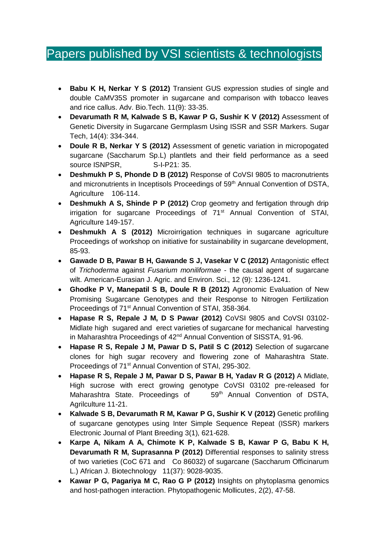## Papers published by VSI scientists & technologists

- **Babu K H, Nerkar Y S (2012)** Transient GUS expression studies of single and double CaMV35S promoter in sugarcane and comparison with tobacco leaves and rice callus. Adv. Bio.Tech. 11(9): 33-35.
- **Devarumath R M, Kalwade S B, Kawar P G, Sushir K V (2012)** Assessment of Genetic Diversity in Sugarcane Germplasm Using ISSR and SSR Markers. Sugar Tech, 14(4): 334-344.
- **Doule R B, Nerkar Y S (2012)** Assessment of genetic variation in micropogated sugarcane (Saccharum Sp.L) plantlets and their field performance as a seed source ISNPSR, S-I-P21: 35.
- **Deshmukh P S, Phonde D B (2012)** Response of CoVSI 9805 to macronutrients and micronutrients in Inceptisols Proceedings of 59<sup>th</sup> Annual Convention of DSTA, Agriculture 106-114.
- **Deshmukh A S, Shinde P P (2012)** Crop geometry and fertigation through drip irrigation for sugarcane Proceedings of 71<sup>st</sup> Annual Convention of STAI, Agriculture 149-157.
- **Deshmukh A S (2012)** Microirrigation techniques in sugarcane agriculture Proceedings of workshop on initiative for sustainability in sugarcane development, 85-93.
- **Gawade D B, Pawar B H, Gawande S J, Vasekar V C (2012)** Antagonistic effect of *Trichoderma* against *Fusarium moniliformae* - the causal agent of sugarcane wilt. American-Eurasian J. Agric. and Environ. Sci., 12 (9): 1236-1241.
- **Ghodke P V, Manepatil S B, Doule R B (2012)** Agronomic Evaluation of New Promising Sugarcane Genotypes and their Response to Nitrogen Fertilization Proceedings of 71<sup>st</sup> Annual Convention of STAI, 358-364.
- **Hapase R S, Repale J M, D S Pawar (2012)** CoVSI 9805 and CoVSI 03102- Midlate high sugared and erect varieties of sugarcane for mechanical harvesting in Maharashtra Proceedings of 42<sup>nd</sup> Annual Convention of SISSTA, 91-96.
- **Hapase R S, Repale J M, Pawar D S, Patil S C (2012)** Selection of sugarcane clones for high sugar recovery and flowering zone of Maharashtra State. Proceedings of 71<sup>st</sup> Annual Convention of STAI, 295-302.
- **Hapase R S, Repale J M, Pawar D S, Pawar B H, Yadav R G (2012)** A Midlate, High sucrose with erect growing genotype CoVSI 03102 pre-released for Maharashtra State. Proceedings of 59<sup>th</sup> Annual Convention of DSTA, Agrilculture 11-21.
- **Kalwade S B, Devarumath R M, Kawar P G, Sushir K V (2012)** Genetic profiling of sugarcane genotypes using Inter Simple Sequence Repeat (ISSR) markers Electronic Journal of Plant Breeding 3(1), 621-628.
- **Karpe A, Nikam A A, Chimote K P, Kalwade S B, Kawar P G, Babu K H, Devarumath R M, Suprasanna P (2012)** Differential responses to salinity stress of two varieties (CoC 671 and Co 86032) of sugarcane (Saccharum Officinarum L.) African J. Biotechnology 11(37): 9028-9035.
- **Kawar P G, Pagariya M C, Rao G P (2012)** Insights on phytoplasma genomics and host-pathogen interaction. Phytopathogenic Mollicutes, 2(2), 47-58.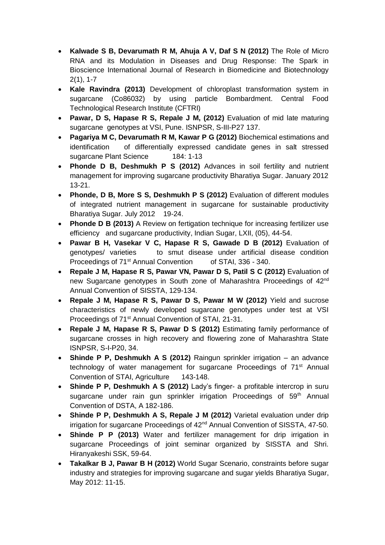- **Kalwade S B, Devarumath R M, Ahuja A V, Daf S N (2012)** The Role of Micro RNA and its Modulation in Diseases and Drug Response: The Spark in Bioscience International Journal of Research in Biomedicine and Biotechnology 2(1), 1-7
- **Kale Ravindra (2013)** Development of chloroplast transformation system in sugarcane (Co86032) by using particle Bombardment. Central Food Technological Research Institute (CFTRI)
- **Pawar, D S, Hapase R S, Repale J M, (2012)** Evaluation of mid late maturing sugarcane genotypes at VSI, Pune. ISNPSR, S-III-P27 137.
- **Pagariya M C, Devarumath R M, Kawar P G (2012)** Biochemical estimations and identification of differentially expressed candidate genes in salt stressed sugarcane Plant Science 184: 1-13
- **Phonde D B, Deshmukh P S (2012)** Advances in soil fertility and nutrient management for improving sugarcane productivity Bharatiya Sugar. January 2012 13-21.
- **Phonde, D B, More S S, Deshmukh P S (2012)** Evaluation of different modules of integrated nutrient management in sugarcane for sustainable productivity Bharatiya Sugar. July 2012 19-24.
- **Phonde D B (2013)** A Review on fertigation technique for increasing fertilizer use efficiency and sugarcane productivity, Indian Sugar, LXII, (05), 44-54.
- **Pawar B H, Vasekar V C, Hapase R S, Gawade D B (2012)** Evaluation of genotypes/ varieties to smut disease under artificial disease condition Proceedings of 71<sup>st</sup> Annual Convention of STAI, 336 - 340.
- **Repale J M, Hapase R S, Pawar VN, Pawar D S, Patil S C (2012)** Evaluation of new Sugarcane genotypes in South zone of Maharashtra Proceedings of 42<sup>nd</sup> Annual Convention of SISSTA, 129-134.
- **Repale J M, Hapase R S, Pawar D S, Pawar M W (2012)** Yield and sucrose characteristics of newly developed sugarcane genotypes under test at VSI Proceedings of 71<sup>st</sup> Annual Convention of STAI, 21-31.
- **Repale J M, Hapase R S, Pawar D S (2012)** Estimating family performance of sugarcane crosses in high recovery and flowering zone of Maharashtra State ISNPSR, S-I-P20, 34.
- **Shinde P P, Deshmukh A S (2012)** Raingun sprinkler irrigation an advance technology of water management for sugarcane Proceedings of 71<sup>st</sup> Annual Convention of STAI, Agriculture 143-148.
- **Shinde P P, Deshmukh A S (2012)** Lady's finger- a profitable intercrop in suru sugarcane under rain gun sprinkler irrigation Proceedings of 59<sup>th</sup> Annual Convention of DSTA, A 182-186.
- **Shinde P P, Deshmukh A S, Repale J M (2012)** Varietal evaluation under drip irrigation for sugarcane Proceedings of 42<sup>nd</sup> Annual Convention of SISSTA, 47-50.
- **Shinde P P (2013)** Water and fertilizer management for drip irrigation in sugarcane Proceedings of joint seminar organized by SISSTA and Shri. Hiranyakeshi SSK, 59-64.
- **Takalkar B J, Pawar B H (2012)** World Sugar Scenario, constraints before sugar industry and strategies for improving sugarcane and sugar yields Bharatiya Sugar, May 2012: 11-15.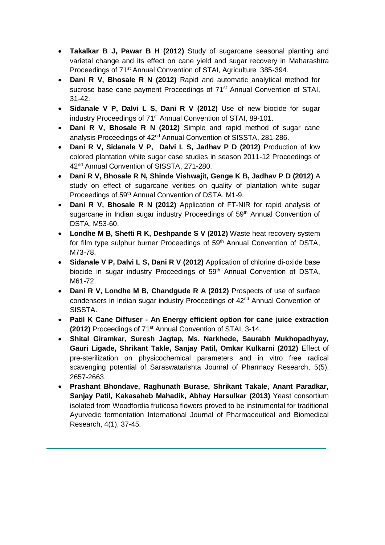- **Takalkar B J, Pawar B H (2012)** Study of sugarcane seasonal planting and varietal change and its effect on cane yield and sugar recovery in Maharashtra Proceedings of 71<sup>st</sup> Annual Convention of STAI, Agriculture 385-394.
- **Dani R V, Bhosale R N (2012)** Rapid and automatic analytical method for sucrose base cane payment Proceedings of 71<sup>st</sup> Annual Convention of STAI, 31-42.
- **Sidanale V P, Dalvi L S, Dani R V (2012)** Use of new biocide for sugar industry Proceedings of 71<sup>st</sup> Annual Convention of STAI, 89-101.
- **Dani R V, Bhosale R N (2012)** Simple and rapid method of sugar cane analysis Proceedings of 42<sup>nd</sup> Annual Convention of SISSTA, 281-286.
- **Dani R V, Sidanale V P, Dalvi L S, Jadhav P D (2012)** Production of low colored plantation white sugar case studies in season 2011-12 Proceedings of 42<sup>nd</sup> Annual Convention of SISSTA, 271-280.
- **Dani R V, Bhosale R N, Shinde Vishwajit, Genge K B, Jadhav P D (2012)** A study on effect of sugarcane verities on quality of plantation white sugar Proceedings of 59<sup>th</sup> Annual Convention of DSTA, M1-9.
- **Dani R V, Bhosale R N (2012)** Application of FT-NIR for rapid analysis of sugarcane in Indian sugar industry Proceedings of 59<sup>th</sup> Annual Convention of DSTA, M53-60.
- **Londhe M B, Shetti R K, Deshpande S V (2012)** Waste heat recovery system for film type sulphur burner Proceedings of 59<sup>th</sup> Annual Convention of DSTA, M73-78.
- **Sidanale V P, Dalvi L S, Dani R V (2012)** Application of chlorine di-oxide base biocide in sugar industry Proceedings of 59<sup>th</sup> Annual Convention of DSTA, M61-72.
- **Dani R V, Londhe M B, Chandgude R A (2012)** Prospects of use of surface condensers in Indian sugar industry Proceedings of 42nd Annual Convention of SISSTA.
- **Patil K Cane Diffuser - An Energy efficient option for cane juice extraction (2012)** Proceedings of 71st Annual Convention of STAI, 3-14.
- **Shital Giramkar, Suresh Jagtap, Ms. Narkhede, Saurabh Mukhopadhyay, Gauri Ligade, Shrikant Takle, Sanjay Patil, Omkar Kulkarni (2012)** Effect of pre-sterilization on physicochemical parameters and in vitro free radical scavenging potential of Saraswatarishta Journal of Pharmacy Research, 5(5), 2657-2663.
- **Prashant Bhondave, Raghunath Burase, Shrikant Takale, Anant Paradkar, Sanjay Patil, Kakasaheb Mahadik, Abhay Harsulkar (2013)** Yeast consortium isolated from Woodfordia fruticosa flowers proved to be instrumental for traditional Ayurvedic fermentation International Journal of Pharmaceutical and Biomedical Research, 4(1), 37-45.

l,